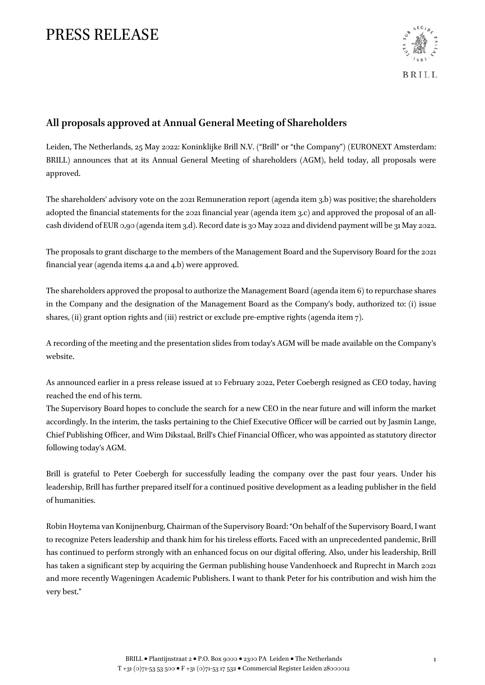# PRESS RELEASE



### **All proposals approved at Annual General Meeting of Shareholders**

Leiden, The Netherlands, 25 May 2022: Koninklijke Brill N.V. ("Brill" or "the Company") (EURONEXT Amsterdam: BRILL) announces that at its Annual General Meeting of shareholders (AGM), held today, all proposals were approved.

The shareholders' advisory vote on the 2021 Remuneration report (agenda item 3.b) was positive; the shareholders adopted the financial statements for the 2021 financial year (agenda item 3.c) and approved the proposal of an allcash dividend of EUR 0,90 (agenda item 3.d). Record date is 30 May 2022 and dividend payment will be 31 May 2022.

The proposals to grant discharge to the members of the Management Board and the Supervisory Board for the 2021 financial year (agenda items 4.a and 4.b) were approved.

The shareholders approved the proposal to authorize the Management Board (agenda item 6) to repurchase shares in the Company and the designation of the Management Board as the Company's body, authorized to: (i) issue shares, (ii) grant option rights and (iii) restrict or exclude pre-emptive rights (agenda item 7).

A recording of the meeting and the presentation slides from today's AGM will be made available on the Company's website.

As announced earlier in a press release issued at 10 February 2022, Peter Coebergh resigned as CEO today, having reached the end of his term.

The Supervisory Board hopes to conclude the search for a new CEO in the near future and will inform the market accordingly. In the interim, the tasks pertaining to the Chief Executive Officer will be carried out by Jasmin Lange, Chief Publishing Officer, and Wim Dikstaal, Brill's Chief Financial Officer, who was appointed as statutory director following today's AGM.

Brill is grateful to Peter Coebergh for successfully leading the company over the past four years. Under his leadership, Brill has further prepared itself for a continued positive development as a leading publisher in the field of humanities.

Robin Hoytema van Konijnenburg, Chairman of the Supervisory Board: "On behalf of the Supervisory Board, I want to recognize Peters leadership and thank him for his tireless efforts. Faced with an unprecedented pandemic, Brill has continued to perform strongly with an enhanced focus on our digital offering. Also, under his leadership, Brill has taken a significant step by acquiring the German publishing house Vandenhoeck and Ruprecht in March 2021 and more recently Wageningen Academic Publishers. I want to thank Peter for his contribution and wish him the very best."